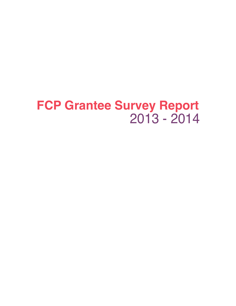# 2013 - 2014 **FCP Grantee Survey Report**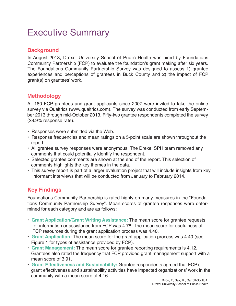## Executive Summary

### **Background**

In August 2013, Drexel University School of Public Health was hired by Foundations Community Partnership (FCP) to evaluate the foundation's grant making after six years. The Foundations Community Partnership Survey was designed to assess 1) grantee experiences and perceptions of grantees in Buck County and 2) the impact of FCP grant(s) on grantees' work.

### **Methodology**

All 180 FCP grantees and grant applicants since 2007 were invited to take the online survey via Qualtrics (www.qualtrics.com). The survey was conducted from early September 2013 through mid-October 2013. Fifty-two grantee respondents completed the survey (28.9% response rate).

- Responses were submitted via the Web.
- Response frequencies and mean ratings on a 5-point scale are shown throughout the report
- All grantee survey responses were anonymous. The Drexel SPH team removed any comments that could potentially identify the respondent.
- Selected grantee comments are shown at the end of the report. This selection of comments highlights the key themes in the data.
- This survey report is part of a larger evaluation project that will include insights from key informant interviews that will be conducted from January to February 2014.

### **Key Findings**

Foundations Community Partnership is rated highly on many measures in the "Foundations Community Partnership Survey". Mean scores of grantee responses were determined for each category and are as follows:

- **Grant Application/Grant Writing Assistance:** The mean score for grantee requests for information or assistance from FCP was 4.78. The mean score for usefulness of FCP resources during the grant application process was 4.40.
- **Grant Application:** The mean score for the grant application process was 4.40 (see Figure 1 for types of assistance provided by FCP).
- **Grant Management:** The mean score for grantee reporting requirements is 4.12. Grantees also rated the frequency that FCP provided grant management support with a mean score of 3.91.
- **Grant Effectiveness and Sustainability:** Grantee respondents agreed that FCP's grant effectiveness and sustainability activities have impacted organizations' work in the community with a mean score of 4.16.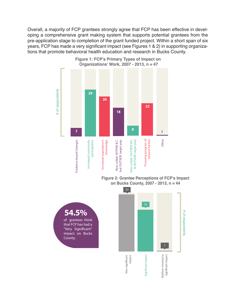Overall, a majority of FCP grantees strongly agree that FCP has been effective in developing a comprehensive grant making system that supports potential grantees from the pre-application stage to completion of the grant funded project. Within a short span of six years, FCP has made a very significant impact (see Figures 1 & 2) in supporting organizations that promote behavioral health education and research in Bucks County.



**Figure 1: FCP's Primary Types of Impact on Organizations' Work, 2007 - 2013, n = 47**

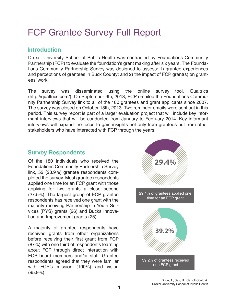## FCP Grantee Survey Full Report

### **Introduction**

Drexel University School of Public Health was contracted by Foundations Community Partnership (FCP) to evaluate the foundation's grant making after six years. The Foundations Community Partnership Survey was designed to assess: 1) grantee experiences and perceptions of grantees in Buck County; and 2) the impact of FCP grant(s) on grantees' work.

The survey was disseminated using the online survey tool, Qualtrics (http://qualtrics.com/). On September 9th, 2013, FCP emailed the Foundations Community Partnership Survey link to all of the 180 grantees and grant applicants since 2007. The survey was closed on October 18th, 2013. Two reminder emails were sent out in this period. This survey report is part of a larger evaluation project that will include key informant interviews that will be conducted from January to February 2014. Key informant interviews will expand the focus to gain insights not only from grantees but from other stakeholders who have interacted with FCP through the years.

### **Survey Respondents**

Of the 180 individuals who received the Foundations Community Partnership Survey link, 52 (28.9%) grantee respondents completed the survey. Most grantee respondents applied one time for an FCP grant with those applying for two grants a close second (27.5%). The largest group of FCP grantee respondents has received one grant with the majority receiving Partnership in Youth Services (PYS) grants (26) and Bucks Innovation and Improvement grants (25).

A majority of grantee respondents have received grants from other organizations before receiving their first grant from FCP (87%) with one third of respondents learning about FCP through direct interaction with FCP board members and/or staff. Grantee respondents agreed that they were familiar with FCP's mission (100%) and vision (95.9%).

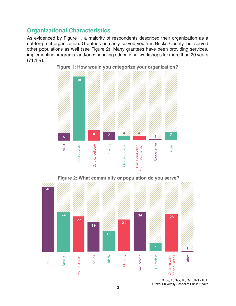## **Organizational Characteristics**

As evidenced by Figure 1, a majority of respondents described their organization as a not-for-profit organization. Grantees primarily served youth in Bucks County, but served other populations as well (see Figure 2). Many grantees have been providing services, implementing programs, and/or conducting educational workshops for more than 20 years  $(71.1\%)$ .



**Figure 1: How would you categorize your organization?**

**40 19 15 7 1** Minority Adults Elderly Other Youth Familes -ow-Income Homeless Young Adults Low-Income Homeless Children with Special Needs Young Adults Special Needs Children with

> Brion, T., Sax, R., Carroll-Scott, A. Drexel University School of Public Health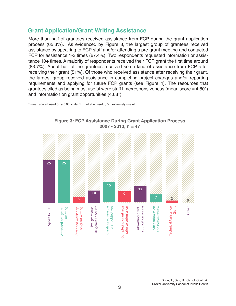## **Grant Application/Grant Writing Assistance**

More than half of grantees received assistance from FCP during the grant application process (65.3%). As evidenced by Figure 3, the largest group of grantees received assistance by speaking to FCP staff and/or attending a pre-grant meeting and contacted FCP for assistance 1-3 times (67.4%). Two respondents requested information or assistance 10+ times. A majority of respondents received their FCP grant the first time around (83.7%). About half of the grantees received some kind of assistance from FCP after receiving their grant (51%). Of those who received assistance after receiving their grant, the largest group received assistance in completing project changes and/or reporting requirements and applying for future FCP grants (see Figure 4). The resources that grantees cited as being most useful were staff time/responsiveness (mean score  $=$  4.80<sup>\*</sup>) and information on grant opportunities (4.68\*).

 $*$  mean score based on a 5.00 scale,  $1 =$  not at all useful,  $5 =$  extremely useful



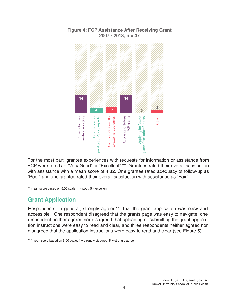

#### **Figure 4: FCP Assistance After Receiving Grant 2007 - 2013, n = 47**

For the most part, grantee experiences with requests for information or assistance from FCP were rated as "Very Good" or "Excellent" \*\*. Grantees rated their overall satisfaction with assistance with a mean score of 4.82. One grantee rated adequacy of follow-up as "Poor" and one grantee rated their overall satisfaction with assistance as "Fair".

\*\* mean score based on  $5.00$  scale,  $1 =$  poor,  $5 =$  excellent

## **Grant Application**

Respondents, in general, strongly agreed\*\*\* that the grant application was easy and accessible. One respondent disagreed that the grants page was easy to navigate, one respondent neither agreed nor disagreed that uploading or submitting the grant application instructions were easy to read and clear, and three respondents neither agreed nor disagreed that the application instructions were easy to read and clear (see Figure 5).

\*\*\* mean score based on 5.00 scale, 1 = strongly disagree, 5 = strongly agree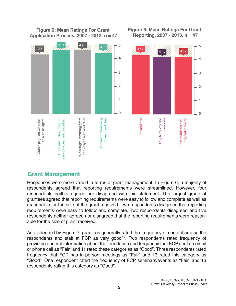

## **Figure 5: Mean Ratings For Grant**

## **Figure 6: Mean Ratings For Grant**

## **Grant Management**

Responses were more varied in terms of grant management. In Figure 6, a majority of respondents agreed that reporting requirements were streamlined. However, four respondents neither agreed nor disagreed with this statement. The largest group of grantees agreed that reporting requirements were easy to follow and complete as well as reasonable for the size of the grant received. Two respondents disagreed that reporting requirements were easy to follow and complete. Two respondents disagreed and five respondents neither agreed nor disagreed that the reporting requirements were reasonable for the size of grant received.

As evidenced by Figure 7, grantees generally rated the frequency of contact among the respondents and staff at FCP as very good\*\*. Two respondents rated frequency of providing general information about the foundation and frequency that FCP sent an email or phone call as "Fair" and 11 rated these categories as "Good". Three respondents rated frequency that FCP has in-person meetings as "Fair" and 13 rated this category as "Good". One respondent rated the frequency of FCP seminars/events as "Fair" and 13 respondents rating this category as "Good".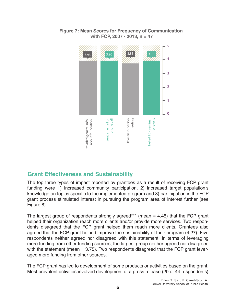

### **Figure 7: Mean Scores for Frequency of Communication with FCP, 2007 - 2013, n = 47**

## **Grant Effectiveness and Sustainability**

The top three types of impact reported by grantees as a result of receiving FCP grant funding were 1) increased community participation, 2) increased target population's knowledge on topics specific to the implemented program and 3) participation in the FCP grant process stimulated interest in pursuing the program area of interest further (see Figure 8).

The largest group of respondents strongly agreed\*\*\* (mean  $=$  4.45) that the FCP grant helped their organization reach more clients and/or provide more services. Two respondents disagreed that the FCP grant helped them reach more clients. Grantees also agreed that the FCP grant helped improve the sustainability of their program (4.27). Five respondents neither agreed nor disagreed with this statement. In terms of leveraging more funding from other funding sources, the largest group neither agreed nor disagreed with the statement (mean  $= 3.75$ ). Two respondents disagreed that the FCP grant leveraged more funding from other sources.

The FCP grant has led to development of some products or activities based on the grant. Most prevalent activities involved development of a press release (20 of 44 respondents),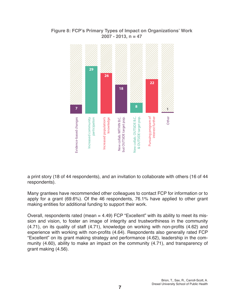

#### **Figure 8: FCP's Primary Types of Impact on Organizations' Work 2007 - 2013, n = 47**

a print story (18 of 44 respondents), and an invitation to collaborate with others (16 of 44 respondents).

Many grantees have recommended other colleagues to contact FCP for information or to apply for a grant (69.6%). Of the 46 respondents, 76.1% have applied to other grant making entities for additional funding to support their work.

Overall, respondents rated (mean  $= 4.49$ ) FCP "Excellent" with its ability to meet its mission and vision, to foster an image of integrity and trustworthiness in the community (4.71), on its quality of staff (4.71), knowledge on working with non-profits (4.62) and experience with working with non-profits (4.64). Respondents also generally rated FCP "Excellent" on its grant making strategy and performance (4.62), leadership in the community (4.60), ability to make an impact on the community (4.71), and transparency of grant making (4.56).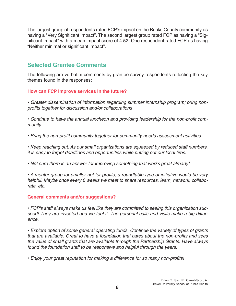The largest group of respondents rated FCP's impact on the Bucks County community as having a "Very Significant Impact". The second largest group rated FCP as having a "Significant Impact" with a mean impact score of 4.52. One respondent rated FCP as having "Neither minimal or significant impact".

## **Selected Grantee Comments**

The following are verbatim comments by grantee survey respondents reflecting the key themes found in the responses:

#### **How can FCP improve services in the future?**

• Greater dissemination of information regarding summer internship program; bring nonprofits together for discussion and/or collaborations

• Continue to have the annual luncheon and providing leadership for the non-profit community.

• Bring the non-profit community together for community needs assessment activities

• Keep reaching out. As our small organizations are squeezed by reduced staff numbers, it is easy to forget deadlines and opportunities while putting out our local fires.

• Not sure there is an answer for improving something that works great already!

• A mentor group for smaller not for profits, a roundtable type of initiative would be very helpful. Maybe once every 6 weeks we meet to share resources, learn, network, collaborate, etc.

#### **General comments and/or suggestions?**

• FCP's staff always make us feel like they are committed to seeing this organization succeed! They are invested and we feel it. The personal calls and visits make a big difference.

• Explore option of some general operating funds. Continue the variety of types of grants that are available. Great to have a foundation that cares about the non-profits and sees the value of small grants that are available through the Partnership Grants. Have always found the foundation staff to be responsive and helpful through the years.

• Enjoy your great reputation for making a difference for so many non-profits!